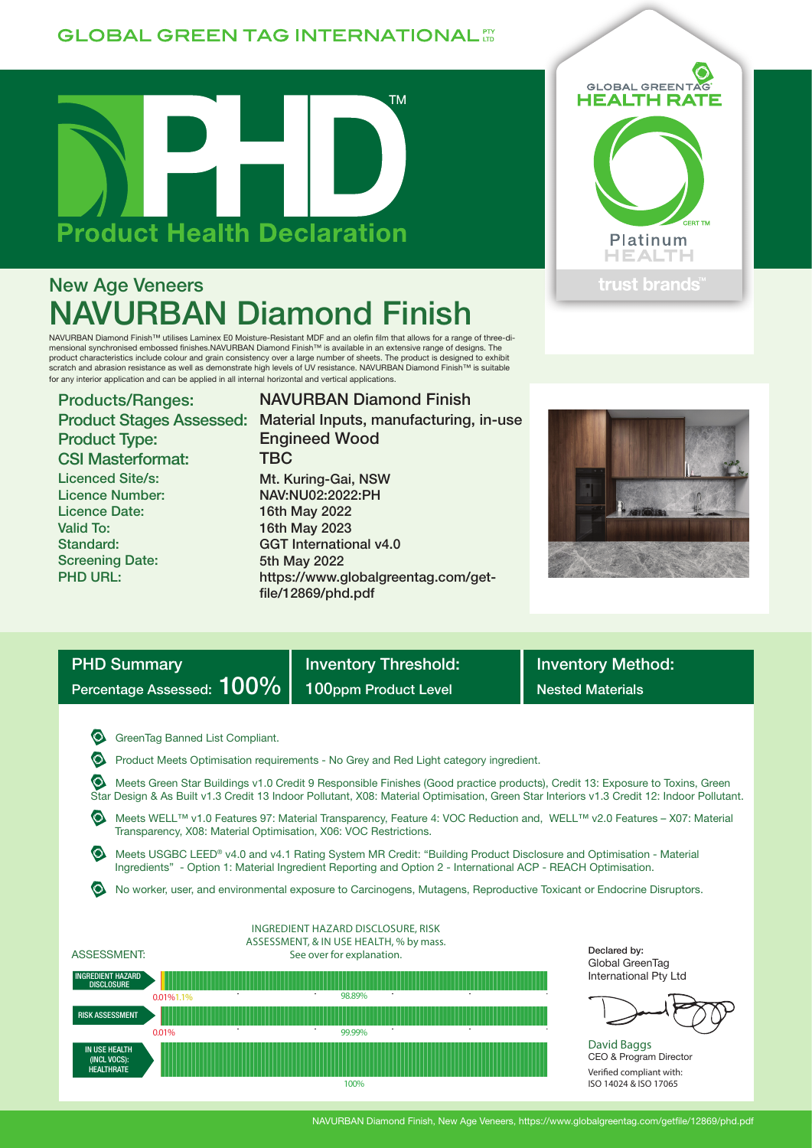## **GLOBAL GREEN TAG INTERNATIONAL FT**



# New Age Veneers NAVURBAN Diamond Finish

NAVURBAN Diamond Finish™ utilises Laminex E0 Moisture-Resistant MDF and an olefin film that allows for a range of three-dimensional synchronised embossed finishes.NAVURBAN Diamond Finish™ is available in an extensive range of designs. The product characteristics include colour and grain consistency over a large number of sheets. The product is designed to exhibit<br>scratch and abrasion resistance as well as demonstrate high levels of UV resistance. NAVURBAN for any interior application and can be applied in all internal horizontal and vertical applications.

Products/Ranges: Product Type: CSI Masterformat: Licenced Site/s: Licence Number: Licence Date: Valid To: Standard: Screening Date: PHD URL:

### Product Stages Assessed: Material Inputs, manufacturing, in-use NAVURBAN Diamond Finish Engineed Wood **TBC** Mt. Kuring-Gai, NSW NAV:NU02:2022:PH 16th May 2022 16th May 2023 GGT International v4.0 5th May 2022 https://www.globalgreentag.com/get-





| <b>PHD Summary</b>        |  |
|---------------------------|--|
| Percentage Assessed: 100% |  |

Inventory Threshold: **Inventory Method:** 100ppm Product Level Nested Materials

**G** GreenTag Banned List Compliant.

Product Meets Optimisation requirements - No Grey and Red Light category ingredient.

file/12869/phd.pdf

 Meets Green Star Buildings v1.0 Credit 9 Responsible Finishes (Good practice products), Credit 13: Exposure to Toxins, Green Star Design & As Built v1.3 Credit 13 Indoor Pollutant, X08: Material Optimisation, Green Star Interiors v1.3 Credit 12: Indoor Pollutant.

 Meets WELL™ v1.0 Features 97: Material Transparency, Feature 4: VOC Reduction and, WELL™ v2.0 Features – X07: Material Transparency, X08: Material Optimisation, X06: VOC Restrictions.

 Meets USGBC LEED® v4.0 and v4.1 Rating System MR Credit: "Building Product Disclosure and Optimisation - Material Ingredients" - Option 1: Material Ingredient Reporting and Option 2 - International ACP - REACH Optimisation.

No worker, user, and environmental exposure to Carcinogens, Mutagens, Reproductive Toxicant or Endocrine Disruptors.



Declared by: Global GreenTag International Pty Ltd



David Baggs CEO & Program Director Verified compliant with: ISO 14024 & ISO 17065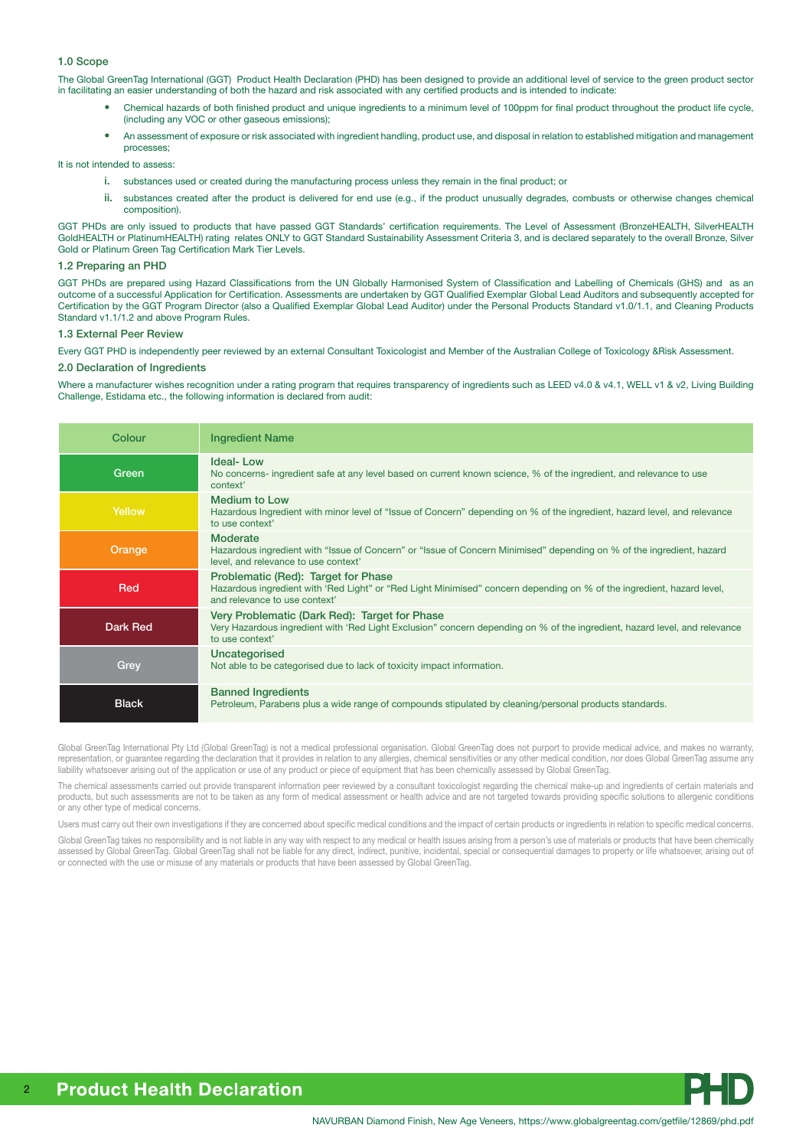#### 1.0 Scope

The Global GreenTag International (GGT) Product Health Declaration (PHD) has been designed to provide an additional level of service to the green product sector in facilitating an easier understanding of both the hazard and risk associated with any certified products and is intended to indicate:

- Chemical hazards of both finished product and unique ingredients to a minimum level of 100ppm for final product throughout the product life cycle, (including any VOC or other gaseous emissions);
- An assessment of exposure or risk associated with ingredient handling, product use, and disposal in relation to established mitigation and management processes;

It is not intended to assess:

- i. substances used or created during the manufacturing process unless they remain in the final product; or
- ii. substances created after the product is delivered for end use (e.g., if the product unusually degrades, combusts or otherwise changes chemical composition).

GGT PHDs are only issued to products that have passed GGT Standards' certification requirements. The Level of Assessment (BronzeHEALTH, SilverHEALTH GoldHEALTH or PlatinumHEALTH) rating relates ONLY to GGT Standard Sustainability Assessment Criteria 3, and is declared separately to the overall Bronze, Silver Gold or Platinum Green Tag Certification Mark Tier Levels.

#### 1.2 Preparing an PHD

GGT PHDs are prepared using Hazard Classifications from the UN Globally Harmonised System of Classification and Labelling of Chemicals (GHS) and as an outcome of a successful Application for Certification. Assessments are undertaken by GGT Qualified Exemplar Global Lead Auditors and subsequently accepted for Certification by the GGT Program Director (also a Qualified Exemplar Global Lead Auditor) under the Personal Products Standard v1.0/1.1, and Cleaning Products Standard v1.1/1.2 and above Program Rules.

#### 1.3 External Peer Review

Every GGT PHD is independently peer reviewed by an external Consultant Toxicologist and Member of the Australian College of Toxicology &Risk Assessment.

#### 2.0 Declaration of Ingredients

Where a manufacturer wishes recognition under a rating program that requires transparency of ingredients such as LEED v4.0 & v4.1, WELL v1 & v2, Living Building Challenge, Estidama etc., the following information is declared from audit:

| Colour       | <b>Ingredient Name</b>                                                                                                                                                                         |
|--------------|------------------------------------------------------------------------------------------------------------------------------------------------------------------------------------------------|
| Green        | <b>Ideal-Low</b><br>No concerns- ingredient safe at any level based on current known science, % of the ingredient, and relevance to use<br>context'                                            |
| Yellow       | <b>Medium to Low</b><br>Hazardous Ingredient with minor level of "Issue of Concern" depending on % of the ingredient, hazard level, and relevance<br>to use context'                           |
| Orange       | <b>Moderate</b><br>Hazardous ingredient with "Issue of Concern" or "Issue of Concern Minimised" depending on % of the ingredient, hazard<br>level, and relevance to use context'               |
| Red          | Problematic (Red): Target for Phase<br>Hazardous ingredient with 'Red Light" or "Red Light Minimised" concern depending on % of the ingredient, hazard level,<br>and relevance to use context' |
| Dark Red     | Very Problematic (Dark Red): Target for Phase<br>Very Hazardous ingredient with 'Red Light Exclusion" concern depending on % of the ingredient, hazard level, and relevance<br>to use context' |
| Grey         | Uncategorised<br>Not able to be categorised due to lack of toxicity impact information.                                                                                                        |
| <b>Black</b> | <b>Banned Ingredients</b><br>Petroleum, Parabens plus a wide range of compounds stipulated by cleaning/personal products standards.                                                            |

Global GreenTag International Pty Ltd (Global GreenTag) is not a medical professional organisation. Global GreenTag does not purport to provide medical advice, and makes no warranty, representation, or guarantee regarding the declaration that it provides in relation to any allergies, chemical sensitivities or any other medical condition, nor does Global GreenTag assume any liability whatsoever arising out of the application or use of any product or piece of equipment that has been chemically assessed by Global GreenTag.

The chemical assessments carried out provide transparent information peer reviewed by a consultant toxicologist regarding the chemical make-up and ingredients of certain materials and products, but such assessments are not to be taken as any form of medical assessment or health advice and are not targeted towards providing specific solutions to allergenic conditions or any other type of medical concerns.

Users must carry out their own investigations if they are concerned about specific medical conditions and the impact of certain products or ingredients in relation to specific medical concerns.

Global GreenTag takes no responsibility and is not liable in any way with respect to any medical or health issues arising from a person's use of materials or products that have been chemically assessed by Global GreenTag. Global GreenTag shall not be liable for any direct, indirect, punitive, incidental, special or consequential damages to property or life whatsoever, arising out of or connected with the use or misuse of any materials or products that have been assessed by Global GreenTag.

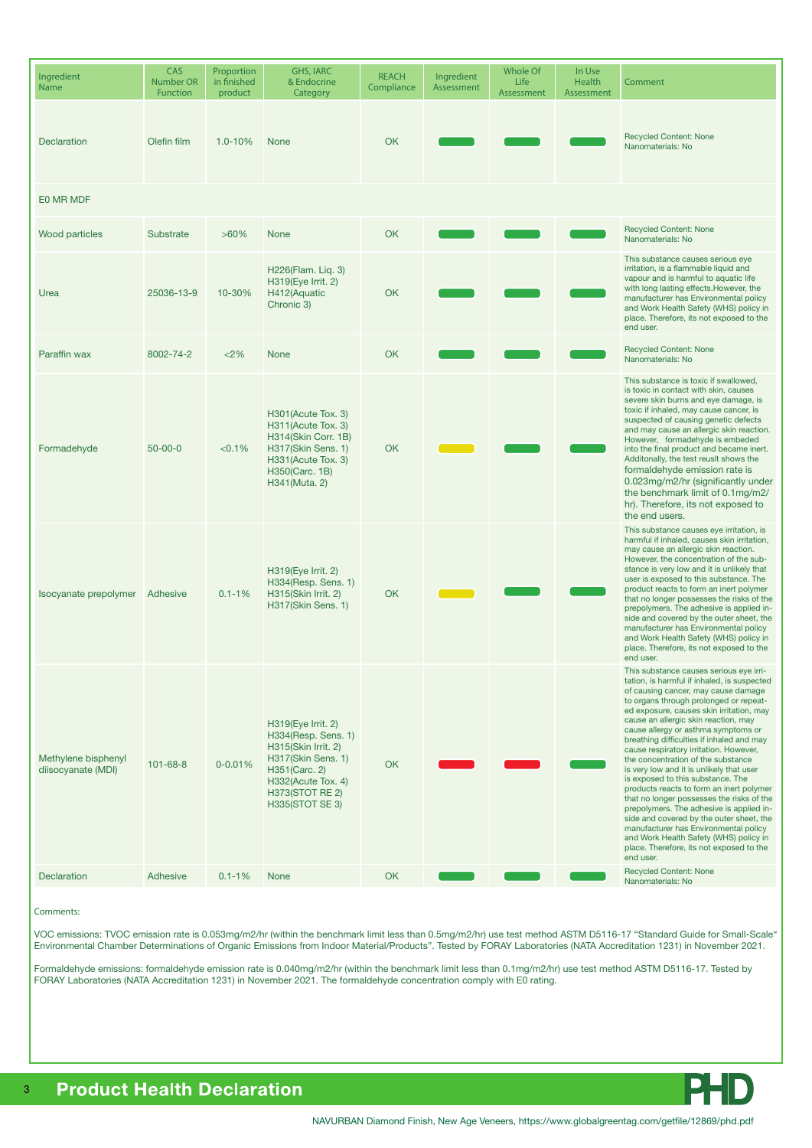| Ingredient<br>Name                        | CAS<br><b>Number OR</b><br><b>Function</b> | Proportion<br>in finished<br>product | <b>GHS, IARC</b><br>& Endocrine<br>Category                                                                                                                                | <b>REACH</b><br>Compliance | Ingredient<br>Assessment | <b>Whole Of</b><br>Life<br>Assessment | In Use<br>Health<br>Assessment | Comment                                                                                                                                                                                                                                                                                                                                                                                                                                                                                                                                                                                                                                                                                                                                                                                                                                       |  |  |
|-------------------------------------------|--------------------------------------------|--------------------------------------|----------------------------------------------------------------------------------------------------------------------------------------------------------------------------|----------------------------|--------------------------|---------------------------------------|--------------------------------|-----------------------------------------------------------------------------------------------------------------------------------------------------------------------------------------------------------------------------------------------------------------------------------------------------------------------------------------------------------------------------------------------------------------------------------------------------------------------------------------------------------------------------------------------------------------------------------------------------------------------------------------------------------------------------------------------------------------------------------------------------------------------------------------------------------------------------------------------|--|--|
| Declaration                               | Olefin film                                | $1.0 - 10%$                          | <b>None</b>                                                                                                                                                                | OK                         |                          |                                       |                                | <b>Recycled Content: None</b><br>Nanomaterials: No                                                                                                                                                                                                                                                                                                                                                                                                                                                                                                                                                                                                                                                                                                                                                                                            |  |  |
| E0 MR MDF                                 |                                            |                                      |                                                                                                                                                                            |                            |                          |                                       |                                |                                                                                                                                                                                                                                                                                                                                                                                                                                                                                                                                                                                                                                                                                                                                                                                                                                               |  |  |
| <b>Wood particles</b>                     | Substrate                                  | $>60\%$                              | <b>None</b>                                                                                                                                                                | <b>OK</b>                  |                          |                                       |                                | <b>Recycled Content: None</b><br>Nanomaterials: No                                                                                                                                                                                                                                                                                                                                                                                                                                                                                                                                                                                                                                                                                                                                                                                            |  |  |
| Urea                                      | 25036-13-9                                 | 10-30%                               | H226(Flam. Liq. 3)<br>H319(Eye Irrit. 2)<br>H412(Aquatic<br>Chronic 3)                                                                                                     | OK                         |                          |                                       |                                | This substance causes serious eye<br>irritation, is a flammable liquid and<br>vapour and is harmful to aquatic life<br>with long lasting effects. However, the<br>manufacturer has Environmental policy<br>and Work Health Safety (WHS) policy in<br>place. Therefore, its not exposed to the<br>end user.                                                                                                                                                                                                                                                                                                                                                                                                                                                                                                                                    |  |  |
| Paraffin wax                              | 8002-74-2                                  | < 2%                                 | None                                                                                                                                                                       | OK                         |                          |                                       |                                | <b>Recycled Content: None</b><br>Nanomaterials: No                                                                                                                                                                                                                                                                                                                                                                                                                                                                                                                                                                                                                                                                                                                                                                                            |  |  |
| Formadehyde                               | $50 - 00 - 0$                              | < 0.1%                               | H301 (Acute Tox. 3)<br>H311(Acute Tox. 3)<br>H314(Skin Corr. 1B)<br>H317(Skin Sens. 1)<br>H331 (Acute Tox. 3)<br>H350(Carc. 1B)<br>H341(Muta. 2)                           | OK                         |                          |                                       |                                | This substance is toxic if swallowed,<br>is toxic in contact with skin, causes<br>severe skin burns and eye damage, is<br>toxic if inhaled, may cause cancer, is<br>suspected of causing genetic defects<br>and may cause an allergic skin reaction.<br>However, formadehyde is embeded<br>into the final product and became inert.<br>Additonally, the test reuslt shows the<br>formaldehyde emission rate is<br>0.023mg/m2/hr (significantly under<br>the benchmark limit of 0.1mg/m2/<br>hr). Therefore, its not exposed to<br>the end users.                                                                                                                                                                                                                                                                                              |  |  |
| Isocyanate prepolymer                     | Adhesive                                   | $0.1 - 1%$                           | $H319$ (Eye Irrit. 2)<br>H334(Resp. Sens. 1)<br>H315(Skin Irrit. 2)<br>H317(Skin Sens. 1)                                                                                  | OK                         |                          |                                       |                                | This substance causes eye irritation, is<br>harmful if inhaled, causes skin irritation,<br>may cause an allergic skin reaction.<br>However, the concentration of the sub-<br>stance is very low and it is unlikely that<br>user is exposed to this substance. The<br>product reacts to form an inert polymer<br>that no longer possesses the risks of the<br>prepolymers. The adhesive is applied in-<br>side and covered by the outer sheet, the<br>manufacturer has Environmental policy<br>and Work Health Safety (WHS) policy in<br>place. Therefore, its not exposed to the<br>end user.                                                                                                                                                                                                                                                 |  |  |
| Methylene bisphenyl<br>diisocyanate (MDI) | $101 - 68 - 8$                             | $0 - 0.01%$                          | H319(Eye Irrit. 2)<br>H334(Resp. Sens. 1)<br>H315(Skin Irrit. 2)<br>H317(Skin Sens. 1)<br>H351(Carc. 2)<br>H332(Acute Tox. 4)<br><b>H373(STOT RE 2)</b><br>H335(STOT SE 3) | OK                         |                          |                                       |                                | This substance causes serious eye irri-<br>tation, is harmful if inhaled, is suspected<br>of causing cancer, may cause damage<br>to organs through prolonged or repeat-<br>ed exposure, causes skin irritation, may<br>cause an allergic skin reaction, may<br>cause allergy or asthma symptoms or<br>breathing difficulties if inhaled and may<br>cause respiratory irritation. However,<br>the concentration of the substance<br>is very low and it is unlikely that user<br>is exposed to this substance. The<br>products reacts to form an inert polymer<br>that no longer possesses the risks of the<br>prepolymers. The adhesive is applied in-<br>side and covered by the outer sheet, the<br>manufacturer has Environmental policy<br>and Work Health Safety (WHS) policy in<br>place. Therefore, its not exposed to the<br>end user. |  |  |
| Declaration                               | Adhesive                                   | $0.1 - 1%$                           | <b>None</b>                                                                                                                                                                | OK                         |                          |                                       |                                | <b>Recycled Content: None</b><br>Nanomaterials: No                                                                                                                                                                                                                                                                                                                                                                                                                                                                                                                                                                                                                                                                                                                                                                                            |  |  |

#### Comments:

VOC emissions: TVOC emission rate is 0.053mg/m2/hr (within the benchmark limit less than 0.5mg/m2/hr) use test method ASTM D5116-17 "Standard Guide for Small-Scale" Environmental Chamber Determinations of Organic Emissions from Indoor Material/Products". Tested by FORAY Laboratories (NATA Accreditation 1231) in November 2021.

Formaldehyde emissions: formaldehyde emission rate is 0.040mg/m2/hr (within the benchmark limit less than 0.1mg/m2/hr) use test method ASTM D5116-17. Tested by FORAY Laboratories (NATA Accreditation 1231) in November 2021. The formaldehyde concentration comply with E0 rating.